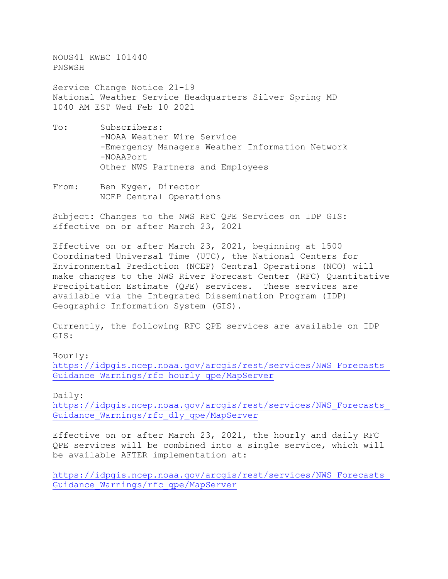NOUS41 KWBC 101440 PNSWSH

Service Change Notice 21-19 National Weather Service Headquarters Silver Spring MD 1040 AM EST Wed Feb 10 2021

- To: Subscribers: -NOAA Weather Wire Service -Emergency Managers Weather Information Network -NOAAPort Other NWS Partners and Employees
- From: Ben Kyger, Director NCEP Central Operations

Subject: Changes to the NWS RFC QPE Services on IDP GIS: Effective on or after March 23, 2021

Effective on or after March 23, 2021, beginning at 1500 Coordinated Universal Time (UTC), the National Centers for Environmental Prediction (NCEP) Central Operations (NCO) will make changes to the NWS River Forecast Center (RFC) Quantitative Precipitation Estimate (QPE) services. These services are available via the Integrated Dissemination Program (IDP) Geographic Information System (GIS).

Currently, the following RFC QPE services are available on IDP GIS:

Hourly: [https://idpgis.ncep.noaa.gov/arcgis/rest/services/NWS\\_Forecasts\\_](https://idpgis.ncep.noaa.gov/arcgis/rest/services/NWS_Forecasts_Guidance_Warnings/rfc_hourly_qpe/MapServer) [Guidance\\_Warnings/rfc\\_hourly\\_qpe/MapServer](https://idpgis.ncep.noaa.gov/arcgis/rest/services/NWS_Forecasts_Guidance_Warnings/rfc_hourly_qpe/MapServer)

Daily:

[https://idpgis.ncep.noaa.gov/arcgis/rest/services/NWS\\_Forecasts\\_](https://idpgis.ncep.noaa.gov/arcgis/rest/services/NWS_Forecasts_Guidance_Warnings/rfc_dly_qpe/MapServer) [Guidance\\_Warnings/rfc\\_dly\\_qpe/MapServer](https://idpgis.ncep.noaa.gov/arcgis/rest/services/NWS_Forecasts_Guidance_Warnings/rfc_dly_qpe/MapServer)

Effective on or after March 23, 2021, the hourly and daily RFC QPE services will be combined into a single service, which will be available AFTER implementation at:

[https://idpgis.ncep.noaa.gov/arcgis/rest/services/NWS\\_Forecasts\\_](https://idpgis.ncep.noaa.gov/arcgis/rest/services/NWS_Forecasts_Guidance_Warnings/rfc_qpe/MapServer) [Guidance\\_Warnings/rfc\\_qpe/MapServer](https://idpgis.ncep.noaa.gov/arcgis/rest/services/NWS_Forecasts_Guidance_Warnings/rfc_qpe/MapServer)